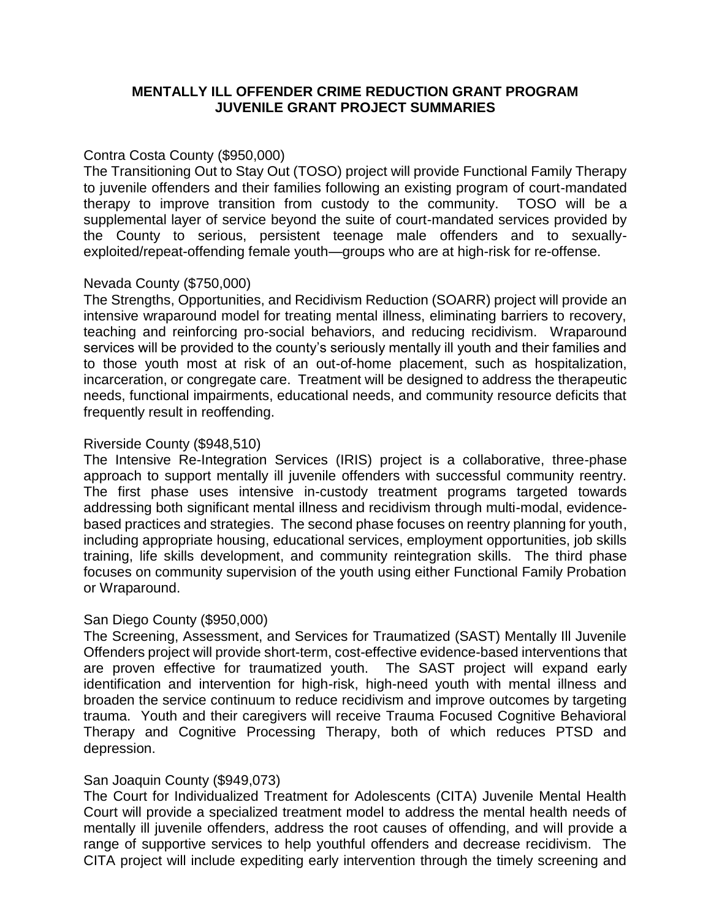## **MENTALLY ILL OFFENDER CRIME REDUCTION GRANT PROGRAM JUVENILE GRANT PROJECT SUMMARIES**

#### Contra Costa County (\$950,000)

The Transitioning Out to Stay Out (TOSO) project will provide Functional Family Therapy to juvenile offenders and their families following an existing program of court-mandated therapy to improve transition from custody to the community. TOSO will be a supplemental layer of service beyond the suite of court-mandated services provided by the County to serious, persistent teenage male offenders and to sexuallyexploited/repeat-offending female youth—groups who are at high-risk for re-offense.

## Nevada County (\$750,000)

The Strengths, Opportunities, and Recidivism Reduction (SOARR) project will provide an intensive wraparound model for treating mental illness, eliminating barriers to recovery, teaching and reinforcing pro-social behaviors, and reducing recidivism. Wraparound services will be provided to the county's seriously mentally ill youth and their families and to those youth most at risk of an out-of-home placement, such as hospitalization, incarceration, or congregate care. Treatment will be designed to address the therapeutic needs, functional impairments, educational needs, and community resource deficits that frequently result in reoffending.

## Riverside County (\$948,510)

The Intensive Re-Integration Services (IRIS) project is a collaborative, three-phase approach to support mentally ill juvenile offenders with successful community reentry. The first phase uses intensive in-custody treatment programs targeted towards addressing both significant mental illness and recidivism through multi-modal, evidencebased practices and strategies. The second phase focuses on reentry planning for youth, including appropriate housing, educational services, employment opportunities, job skills training, life skills development, and community reintegration skills. The third phase focuses on community supervision of the youth using either Functional Family Probation or Wraparound.

# San Diego County (\$950,000)

The Screening, Assessment, and Services for Traumatized (SAST) Mentally Ill Juvenile Offenders project will provide short-term, cost-effective evidence-based interventions that are proven effective for traumatized youth. The SAST project will expand early identification and intervention for high-risk, high-need youth with mental illness and broaden the service continuum to reduce recidivism and improve outcomes by targeting trauma. Youth and their caregivers will receive Trauma Focused Cognitive Behavioral Therapy and Cognitive Processing Therapy, both of which reduces PTSD and depression.

#### San Joaquin County (\$949,073)

The Court for Individualized Treatment for Adolescents (CITA) Juvenile Mental Health Court will provide a specialized treatment model to address the mental health needs of mentally ill juvenile offenders, address the root causes of offending, and will provide a range of supportive services to help youthful offenders and decrease recidivism. The CITA project will include expediting early intervention through the timely screening and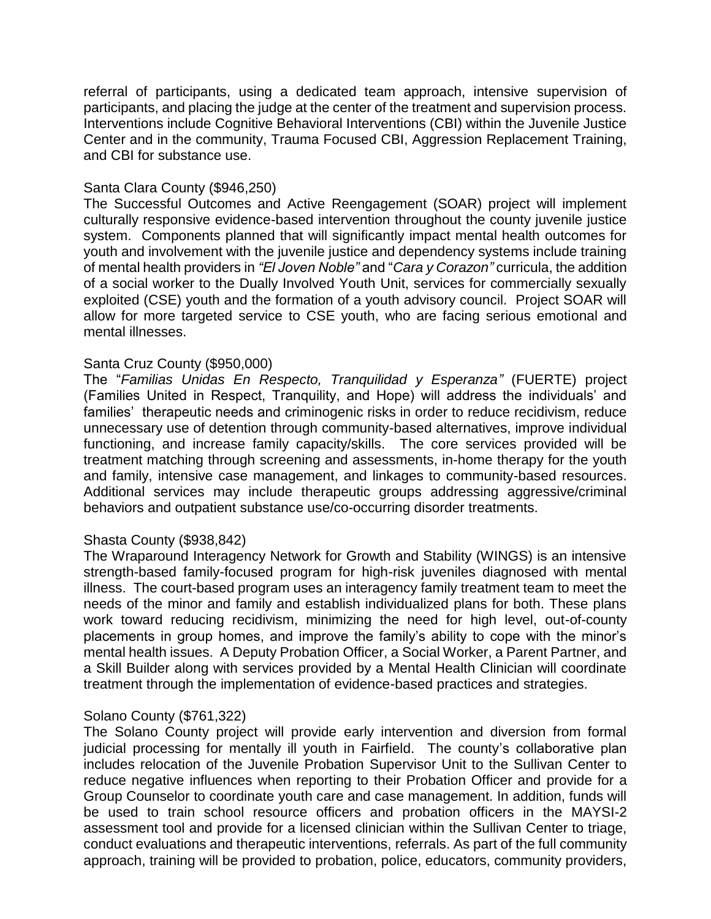referral of participants, using a dedicated team approach, intensive supervision of participants, and placing the judge at the center of the treatment and supervision process. Interventions include Cognitive Behavioral Interventions (CBI) within the Juvenile Justice Center and in the community, Trauma Focused CBI, Aggression Replacement Training, and CBI for substance use.

## Santa Clara County (\$946,250)

The Successful Outcomes and Active Reengagement (SOAR) project will implement culturally responsive evidence-based intervention throughout the county juvenile justice system. Components planned that will significantly impact mental health outcomes for youth and involvement with the juvenile justice and dependency systems include training of mental health providers in *"El Joven Noble"* and "*Cara y Corazon"* curricula, the addition of a social worker to the Dually Involved Youth Unit, services for commercially sexually exploited (CSE) youth and the formation of a youth advisory council. Project SOAR will allow for more targeted service to CSE youth, who are facing serious emotional and mental illnesses.

#### Santa Cruz County (\$950,000)

The "*Familias Unidas En Respecto, Tranquilidad y Esperanza"* (FUERTE) project (Families United in Respect, Tranquility, and Hope) will address the individuals' and families' therapeutic needs and criminogenic risks in order to reduce recidivism, reduce unnecessary use of detention through community-based alternatives, improve individual functioning, and increase family capacity/skills. The core services provided will be treatment matching through screening and assessments, in-home therapy for the youth and family, intensive case management, and linkages to community-based resources. Additional services may include therapeutic groups addressing aggressive/criminal behaviors and outpatient substance use/co-occurring disorder treatments.

# Shasta County (\$938,842)

The Wraparound Interagency Network for Growth and Stability (WINGS) is an intensive strength-based family-focused program for high-risk juveniles diagnosed with mental illness. The court-based program uses an interagency family treatment team to meet the needs of the minor and family and establish individualized plans for both. These plans work toward reducing recidivism, minimizing the need for high level, out-of-county placements in group homes, and improve the family's ability to cope with the minor's mental health issues. A Deputy Probation Officer, a Social Worker, a Parent Partner, and a Skill Builder along with services provided by a Mental Health Clinician will coordinate treatment through the implementation of evidence-based practices and strategies.

#### Solano County (\$761,322)

The Solano County project will provide early intervention and diversion from formal judicial processing for mentally ill youth in Fairfield. The county's collaborative plan includes relocation of the Juvenile Probation Supervisor Unit to the Sullivan Center to reduce negative influences when reporting to their Probation Officer and provide for a Group Counselor to coordinate youth care and case management. In addition, funds will be used to train school resource officers and probation officers in the MAYSI-2 assessment tool and provide for a licensed clinician within the Sullivan Center to triage, conduct evaluations and therapeutic interventions, referrals. As part of the full community approach, training will be provided to probation, police, educators, community providers,